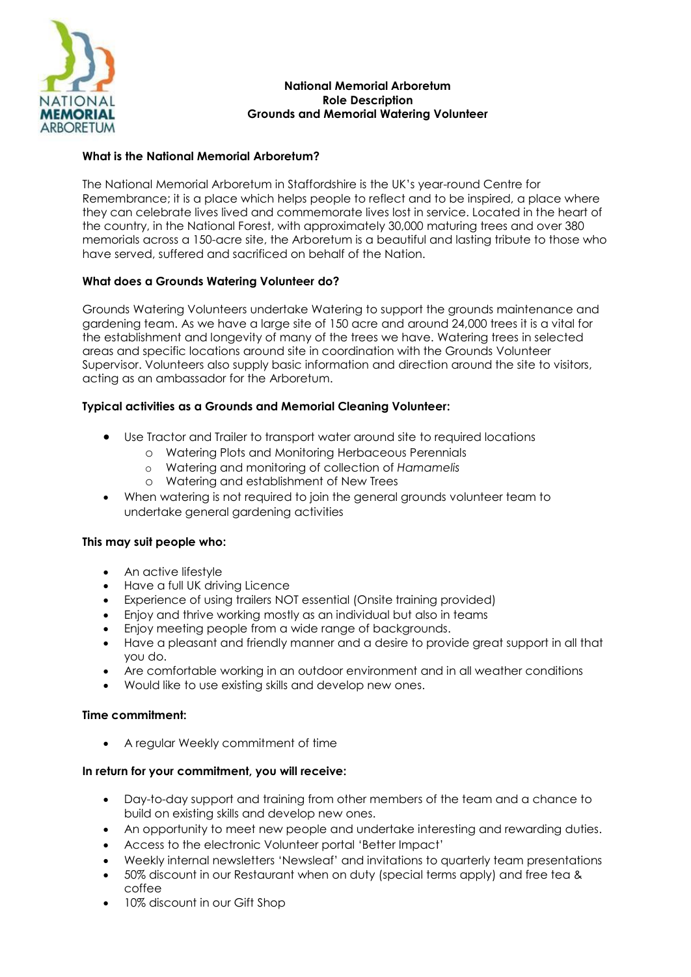

### **National Memorial Arboretum Role Description Grounds and Memorial Watering Volunteer**

# **What is the National Memorial Arboretum?**

The National Memorial Arboretum in Staffordshire is the UK's year-round Centre for Remembrance; it is a place which helps people to reflect and to be inspired, a place where they can celebrate lives lived and commemorate lives lost in service. Located in the heart of the country, in the National Forest, with approximately 30,000 maturing trees and over 380 memorials across a 150-acre site, the Arboretum is a beautiful and lasting tribute to those who have served, suffered and sacrificed on behalf of the Nation.

# **What does a Grounds Watering Volunteer do?**

Grounds Watering Volunteers undertake Watering to support the grounds maintenance and gardening team. As we have a large site of 150 acre and around 24,000 trees it is a vital for the establishment and longevity of many of the trees we have. Watering trees in selected areas and specific locations around site in coordination with the Grounds Volunteer Supervisor. Volunteers also supply basic information and direction around the site to visitors, acting as an ambassador for the Arboretum.

# **Typical activities as a Grounds and Memorial Cleaning Volunteer:**

- Use Tractor and Trailer to transport water around site to required locations
	- o Watering Plots and Monitoring Herbaceous Perennials
	- o Watering and monitoring of collection of *Hamamelis*
	- o Watering and establishment of New Trees
- When watering is not required to join the general grounds volunteer team to undertake general gardening activities

# **This may suit people who:**

- An active lifestyle
- Have a full UK driving Licence
- Experience of using trailers NOT essential (Onsite training provided)
- Enjoy and thrive working mostly as an individual but also in teams
- Enjoy meeting people from a wide range of backgrounds.
- Have a pleasant and friendly manner and a desire to provide great support in all that you do.
- Are comfortable working in an outdoor environment and in all weather conditions
- Would like to use existing skills and develop new ones.

# **Time commitment:**

• A regular Weekly commitment of time

# **In return for your commitment, you will receive:**

- Day-to-day support and training from other members of the team and a chance to build on existing skills and develop new ones.
- An opportunity to meet new people and undertake interesting and rewarding duties.
- Access to the electronic Volunteer portal 'Better Impact'
- Weekly internal newsletters 'Newsleaf' and invitations to quarterly team presentations
- 50% discount in our Restaurant when on duty (special terms apply) and free tea & coffee
- 10% discount in our Gift Shop